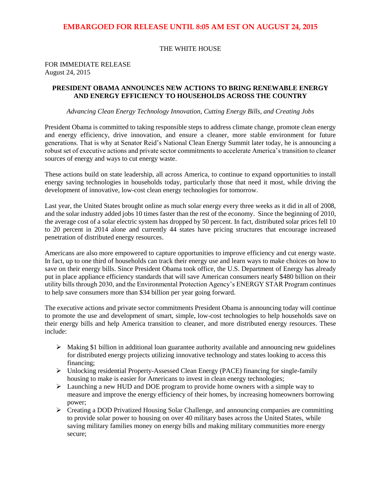#### THE WHITE HOUSE

#### FOR IMMEDIATE RELEASE August 24, 2015

#### **PRESIDENT OBAMA ANNOUNCES NEW ACTIONS TO BRING RENEWABLE ENERGY AND ENERGY EFFICIENCY TO HOUSEHOLDS ACROSS THE COUNTRY**

#### *Advancing Clean Energy Technology Innovation, Cutting Energy Bills, and Creating Jobs*

President Obama is committed to taking responsible steps to address climate change, promote clean energy and energy efficiency, drive innovation, and ensure a cleaner, more stable environment for future generations. That is why at Senator Reid's National Clean Energy Summit later today, he is announcing a robust set of executive actions and private sector commitments to accelerate America's transition to cleaner sources of energy and ways to cut energy waste.

These actions build on state leadership, all across America, to continue to expand opportunities to install energy saving technologies in households today, particularly those that need it most, while driving the development of innovative, low-cost clean energy technologies for tomorrow.

Last year, the United States brought online as much solar energy every three weeks as it did in all of 2008, and the solar industry added jobs 10 times faster than the rest of the economy. Since the beginning of 2010, the average cost of a solar electric system has dropped by 50 percent. In fact, distributed solar prices fell 10 to 20 percent in 2014 alone and currently 44 states have pricing structures that encourage increased penetration of distributed energy resources.

Americans are also more empowered to capture opportunities to improve efficiency and cut energy waste. In fact, up to one third of households can track their energy use and learn ways to make choices on how to save on their energy bills. Since President Obama took office, the U.S. Department of Energy has already put in place appliance efficiency standards that will save American consumers nearly \$480 billion on their utility bills through 2030, and the Environmental Protection Agency's ENERGY STAR Program continues to help save consumers more than \$34 billion per year going forward.

The executive actions and private sector commitments President Obama is announcing today will continue to promote the use and development of smart, simple, low-cost technologies to help households save on their energy bills and help America transition to cleaner, and more distributed energy resources. These include:

- $\triangleright$  Making \$1 billion in additional loan guarantee authority available and announcing new guidelines for distributed energy projects utilizing innovative technology and states looking to access this financing;
- Unlocking residential Property-Assessed Clean Energy (PACE) financing for single-family housing to make is easier for Americans to invest in clean energy technologies;
- Launching a new HUD and DOE program to provide home owners with a simple way to measure and improve the energy efficiency of their homes, by increasing homeowners borrowing power;
- Creating a DOD Privatized Housing Solar Challenge, and announcing companies are committing to provide solar power to housing on over 40 military bases across the United States, while saving military families money on energy bills and making military communities more energy secure;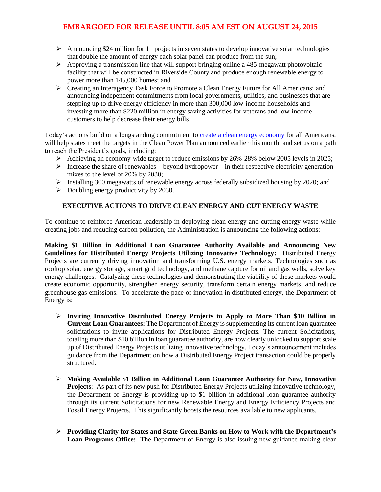- Announcing \$24 million for 11 projects in seven states to develop innovative solar technologies that double the amount of energy each solar panel can produce from the sun;
- $\triangleright$  Approving a transmission line that will support bringing online a 485-megawatt photovoltaic facility that will be constructed in Riverside County and produce enough renewable energy to power more than 145,000 homes; and
- Creating an Interagency Task Force to Promote a Clean Energy Future for All Americans; and announcing independent commitments from local governments, utilities, and businesses that are stepping up to drive energy efficiency in more than 300,000 low-income households and investing more than \$220 million in energy saving activities for veterans and low-income customers to help decrease their energy bills.

Today's actions build on a longstanding commitment to [create a clean energy](http://go.wh.gov/X2bHz4) economy for all Americans, will help states meet the targets in the Clean Power Plan announced earlier this month, and set us on a path to reach the President's goals, including:

- Achieving an economy-wide target to reduce emissions by  $26\% 28\%$  below 2005 levels in 2025;
- Increase the share of renewables beyond hydropower in their respective electricity generation mixes to the level of 20% by 2030;
- $\triangleright$  Installing 300 megawatts of renewable energy across federally subsidized housing by 2020; and
- $\triangleright$  Doubling energy productivity by 2030.

## **EXECUTIVE ACTIONS TO DRIVE CLEAN ENERGY AND CUT ENERGY WASTE**

To continue to reinforce American leadership in deploying clean energy and cutting energy waste while creating jobs and reducing carbon pollution, the Administration is announcing the following actions:

**Making \$1 Billion in Additional Loan Guarantee Authority Available and Announcing New Guidelines for Distributed Energy Projects Utilizing Innovative Technology:** Distributed Energy Projects are currently driving innovation and transforming U.S. energy markets. Technologies such as rooftop solar, energy storage, smart grid technology, and methane capture for oil and gas wells, solve key energy challenges. Catalyzing these technologies and demonstrating the viability of these markets would create economic opportunity, strengthen energy security, transform certain energy markets, and reduce greenhouse gas emissions. To accelerate the pace of innovation in distributed energy, the Department of Energy is:

- **Inviting Innovative Distributed Energy Projects to Apply to More Than \$10 Billion in Current Loan Guarantees:** The Department of Energy is supplementing its current loan guarantee solicitations to invite applications for Distributed Energy Projects. The current Solicitations, totaling more than \$10 billion in loan guarantee authority, are now clearly unlocked to support scale up of Distributed Energy Projects utilizing innovative technology. Today's announcement includes guidance from the Department on how a Distributed Energy Project transaction could be properly structured.
- **Making Available \$1 Billion in Additional Loan Guarantee Authority for New, Innovative Projects**: As part of its new push for Distributed Energy Projects utilizing innovative technology, the Department of Energy is providing up to \$1 billion in additional loan guarantee authority through its current Solicitations for new Renewable Energy and Energy Efficiency Projects and Fossil Energy Projects. This significantly boosts the resources available to new applicants.
- **Providing Clarity for States and State Green Banks on How to Work with the Department's Loan Programs Office:** The Department of Energy is also issuing new guidance making clear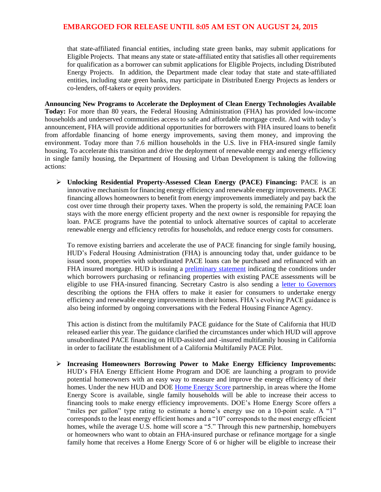that state-affiliated financial entities, including state green banks, may submit applications for Eligible Projects. That means any state or state-affiliated entity that satisfies all other requirements for qualification as a borrower can submit applications for Eligible Projects, including Distributed Energy Projects. In addition, the Department made clear today that state and state-affiliated entities, including state green banks, may participate in Distributed Energy Projects as lenders or co-lenders, off-takers or equity providers.

**Announcing New Programs to Accelerate the Deployment of Clean Energy Technologies Available Today:** For more than 80 years, the Federal Housing Administration (FHA) has provided low-income households and underserved communities access to safe and affordable mortgage credit. And with today's announcement, FHA will provide additional opportunities for borrowers with FHA insured loans to benefit from affordable financing of home energy improvements, saving them money, and improving the environment. Today more than 7.6 million households in the U.S. live in FHA-insured single family housing. To accelerate this transition and drive the deployment of renewable energy and energy efficiency in single family housing, the Department of Housing and Urban Development is taking the following actions:

 **Unlocking Residential Property-Assessed Clean Energy (PACE) Financing:** PACE is an innovative mechanism for financing energy efficiency and renewable energy improvements. PACE financing allows homeowners to benefit from energy improvements immediately and pay back the cost over time through their property taxes. When the property is sold, the remaining PACE loan stays with the more energy efficient property and the next owner is responsible for repaying the loan. PACE programs have the potential to unlock alternative sources of capital to accelerate renewable energy and efficiency retrofits for households, and reduce energy costs for consumers.

To remove existing barriers and accelerate the use of PACE financing for single family housing, HUD's Federal Housing Administration (FHA) is announcing today that, under guidance to be issued soon, properties with subordinated PACE loans can be purchased and refinanced with an FHA insured mortgage. HUD is issuing a [preliminary](http://portal.hud.gov/hudportal/documents/huddoc?id=FTDO.pdf) statement indicating the conditions under which borrowers purchasing or refinancing properties with existing PACE assessments will be eligible to use FHA-insured financing. Secretary Castro is also sending a [letter to Governors](http://portal.hud.gov/hudportal/documents/huddoc?id=GovernorsLetter.pdf) describing the options the FHA offers to make it easier for consumers to undertake energy efficiency and renewable energy improvements in their homes. FHA's evolving PACE guidance is also being informed by ongoing conversations with the Federal Housing Finance Agency.

This action is distinct from the multifamily PACE guidance for the State of California that HUD released earlier this year. The guidance clarified the circumstances under which HUD will approve unsubordinated PACE financing on HUD-assisted and -insured multifamily housing in California in order to facilitate the establishment of a California Multifamily PACE Pilot.

 **Increasing Homeowners Borrowing Power to Make Energy Efficiency Improvements:**  HUD's FHA Energy Efficient Home Program and DOE are launching a program to provide potential homeowners with an easy way to measure and improve the energy efficiency of their homes. Under the new HUD and DOE Home [Energy](http://energy.gov/eere/buildings/home-energy-score) Score partnership, in areas where the Home Energy Score is available, single family households will be able to increase their access to financing tools to make energy efficiency improvements. DOE's Home Energy Score offers a "miles per gallon" type rating to estimate a home's energy use on a 10-point scale. A "1" corresponds to the least energy efficient homes and a "10" corresponds to the most energy efficient homes, while the average U.S. home will score a "5." Through this new partnership, homebuyers or homeowners who want to obtain an FHA-insured purchase or refinance mortgage for a single family home that receives a Home Energy Score of 6 or higher will be eligible to increase their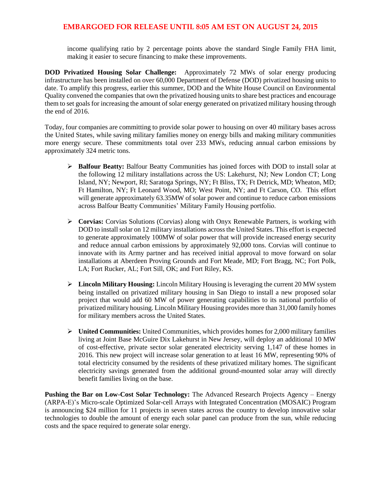income qualifying ratio by 2 percentage points above the standard Single Family FHA limit, making it easier to secure financing to make these improvements.

**DOD Privatized Housing Solar Challenge:** Approximately 72 MWs of solar energy producing infrastructure has been installed on over 60,000 Department of Defense (DOD) privatized housing units to date. To amplify this progress, earlier this summer, DOD and the White House Council on Environmental Quality convened the companies that own the privatized housing units to share best practices and encourage them to set goals for increasing the amount of solar energy generated on privatized military housing through the end of 2016.

Today, four companies are committing to provide solar power to housing on over 40 military bases across the United States, while saving military families money on energy bills and making military communities more energy secure. These commitments total over 233 MWs, reducing annual carbon emissions by approximately 324 metric tons.

- **Balfour Beatty:** Balfour Beatty Communities has joined forces with DOD to install solar at the following 12 military installations across the US: Lakehurst, NJ; New London CT; Long Island, NY; Newport, RI; Saratoga Springs, NY; Ft Bliss, TX; Ft Detrick, MD; Wheaton, MD; Ft Hamilton, NY; Ft Leonard Wood, MO; West Point, NY; and Ft Carson, CO. This effort will generate approximately 63.35MW of solar power and continue to reduce carbon emissions across Balfour Beatty Communities' Military Family Housing portfolio.
- **Corvias:** Corvias Solutions (Corvias) along with Onyx Renewable Partners, is working with DOD to install solar on 12 military installations across the United States. This effort is expected to generate approximately 100MW of solar power that will provide increased energy security and reduce annual carbon emissions by approximately 92,000 tons. Corvias will continue to innovate with its Army partner and has received initial approval to move forward on solar installations at Aberdeen Proving Grounds and Fort Meade, MD; Fort Bragg, NC; Fort Polk, LA; Fort Rucker, AL; Fort Sill, OK; and Fort Riley, KS.
- **Lincoln Military Housing:** Lincoln Military Housing is leveraging the current 20 MW system being installed on privatized military housing in San Diego to install a new proposed solar project that would add 60 MW of power generating capabilities to its national portfolio of privatized military housing. Lincoln Military Housing provides more than 31,000 family homes for military members across the United States.
- **United Communities:** United Communities, which provides homes for 2,000 military families living at Joint Base McGuire Dix Lakehurst in New Jersey, will deploy an additional 10 MW of cost-effective, private sector solar generated electricity serving 1,147 of these homes in 2016. This new project will increase solar generation to at least 16 MW, representing 90% of total electricity consumed by the residents of these privatized military homes. The significant electricity savings generated from the additional ground-mounted solar array will directly benefit families living on the base.

**Pushing the Bar on Low-Cost Solar Technology:** The Advanced Research Projects Agency – Energy (ARPA-E)'s Micro-scale Optimized Solar-cell Arrays with Integrated Concentration (MOSAIC) Program is announcing \$24 million for 11 projects in seven states across the country to develop innovative solar technologies to double the amount of energy each solar panel can produce from the sun, while reducing costs and the space required to generate solar energy.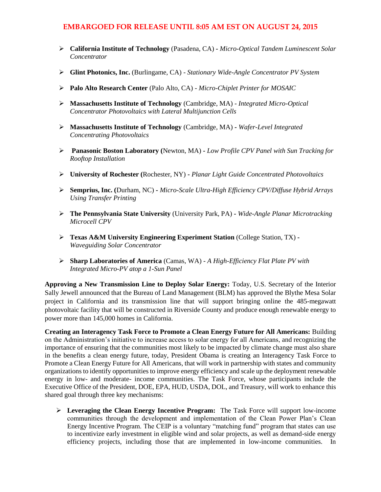- **California Institute of Technology** (Pasadena, CA) **-** *Micro-Optical Tandem Luminescent Solar Concentrator*
- **Glint Photonics, Inc.** (Burlingame, CA) *Stationary Wide-Angle Concentrator PV System*
- **Palo Alto Research Center** (Palo Alto, CA) *Micro-Chiplet Printer for MOSAIC*
- **Massachusetts Institute of Technology** (Cambridge, MA) *Integrated Micro-Optical Concentrator Photovoltaics with Lateral Multijunction Cells*
- **Massachusetts Institute of Technology** (Cambridge, MA) **-** *Wafer-Level Integrated Concentrating Photovoltaics*
- **Panasonic Boston Laboratory (**Newton, MA) **-** *Low Profile CPV Panel with Sun Tracking for Rooftop Installation*
- **University of Rochester (**Rochester, NY) **-** *Planar Light Guide Concentrated Photovoltaics*
- **Semprius, Inc. (**Durham, NC) **-** *Micro-Scale Ultra-High Efficiency CPV/Diffuse Hybrid Arrays Using Transfer Printing*
- **The Pennsylvania State University** (University Park, PA) **-** *Wide-Angle Planar Microtracking Microcell CPV*
- **Texas A&M University Engineering Experiment Station** (College Station, TX) **-** *Waveguiding Solar Concentrator*
- **Sharp Laboratories of America** (Camas, WA) *A High-Efficiency Flat Plate PV with Integrated Micro-PV atop a 1-Sun Panel*

**Approving a New Transmission Line to Deploy Solar Energy:** Today, U.S. Secretary of the Interior Sally Jewell announced that the Bureau of Land Management (BLM) has approved the Blythe Mesa Solar project in California and its transmission line that will support bringing online the 485-megawatt photovoltaic facility that will be constructed in Riverside County and produce enough renewable energy to power more than 145,000 homes in California.

**Creating an Interagency Task Force to Promote a Clean Energy Future for All Americans:** Building on the Administration's initiative to increase access to solar energy for all Americans, and recognizing the importance of ensuring that the communities most likely to be impacted by climate change must also share in the benefits a clean energy future, today, President Obama is creating an Interagency Task Force to Promote a Clean Energy Future for All Americans, that will work in partnership with states and community organizations to identify opportunities to improve energy efficiency and scale up the deployment renewable energy in low- and moderate- income communities. The Task Force, whose participants include the Executive Office of the President, DOE, EPA, HUD, USDA, DOL, and Treasury, will work to enhance this shared goal through three key mechanisms:

 **Leveraging the Clean Energy Incentive Program:** The Task Force will support low-income communities through the development and implementation of the Clean Power Plan's Clean Energy Incentive Program. The CEIP is a voluntary "matching fund" program that states can use to incentivize early investment in eligible wind and solar projects, as well as demand-side energy efficiency projects, including those that are implemented in low-income communities. In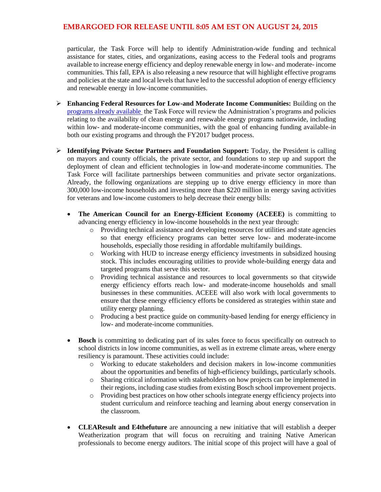particular, the Task Force will help to identify Administration-wide funding and technical assistance for states, cities, and organizations, easing access to the Federal tools and programs available to increase energy efficiency and deploy renewable energy in low- and moderate- income communities. This fall, EPA is also releasing a new resource that will highlight effective programs and policies at the state and local levels that have led to the successful adoption of energy efficiency and renewable energy in low-income communities.

- **Enhancing Federal Resources for Low-and Moderate Income Communities:** Building on the [programs already available](http://go.wh.gov/3rErsZ) the Task Force will review the Administration's programs and policies relating to the availability of clean energy and renewable energy programs nationwide, including within low- and moderate-income communities, with the goal of enhancing funding available-in both our existing programs and through the FY2017 budget process.
- **Identifying Private Sector Partners and Foundation Support:** Today, the President is calling on mayors and county officials, the private sector, and foundations to step up and support the deployment of clean and efficient technologies in low-and moderate-income communities. The Task Force will facilitate partnerships between communities and private sector organizations. Already, the following organizations are stepping up to drive energy efficiency in more than 300,000 low-income households and investing more than \$220 million in energy saving activities for veterans and low-income customers to help decrease their energy bills:
	- **The American Council for an Energy-Efficient Economy (ACEEE)** is committing to advancing energy efficiency in low-income households in the next year through:
		- o Providing technical assistance and developing resources for utilities and state agencies so that energy efficiency programs can better serve low- and moderate-income households, especially those residing in affordable multifamily buildings.
		- o Working with HUD to increase energy efficiency investments in subsidized housing stock. This includes encouraging utilities to provide whole-building energy data and targeted programs that serve this sector.
		- o Providing technical assistance and resources to local governments so that citywide energy efficiency efforts reach low- and moderate-income households and small businesses in these communities. ACEEE will also work with local governments to ensure that these energy efficiency efforts be considered as strategies within state and utility energy planning.
		- o Producing a best practice guide on community-based lending for energy efficiency in low- and moderate-income communities.
	- **Bosch** is committing to dedicating part of its sales force to focus specifically on outreach to school districts in low income communities, as well as in extreme climate areas, where energy resiliency is paramount. These activities could include:
		- o Working to educate stakeholders and decision makers in low-income communities about the opportunities and benefits of high-efficiency buildings, particularly schools.
		- o Sharing critical information with stakeholders on how projects can be implemented in their regions, including case studies from existing Bosch school improvement projects.
		- o Providing best practices on how other schools integrate energy efficiency projects into student curriculum and reinforce teaching and learning about energy conservation in the classroom.
	- **CLEAResult and E4thefuture** are announcing a new initiative that will establish a deeper Weatherization program that will focus on recruiting and training Native American professionals to become energy auditors. The initial scope of this project will have a goal of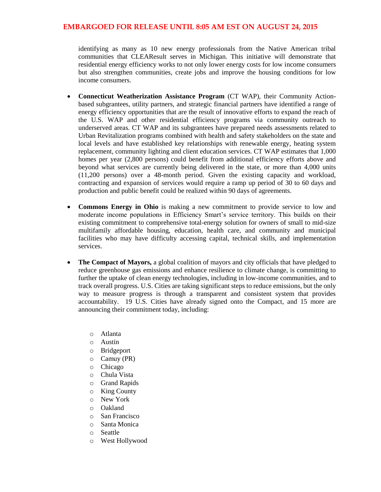identifying as many as 10 new energy professionals from the Native American tribal communities that CLEAResult serves in Michigan. This initiative will demonstrate that residential energy efficiency works to not only lower energy costs for low income consumers but also strengthen communities, create jobs and improve the housing conditions for low income consumers.

- **Connecticut Weatherization Assistance Program** (CT WAP), their Community Actionbased subgrantees, utility partners, and strategic financial partners have identified a range of energy efficiency opportunities that are the result of innovative efforts to expand the reach of the U.S. WAP and other residential efficiency programs via community outreach to underserved areas. CT WAP and its subgrantees have prepared needs assessments related to Urban Revitalization programs combined with health and safety stakeholders on the state and local levels and have established key relationships with renewable energy, heating system replacement, community lighting and client education services. CT WAP estimates that 1,000 homes per year (2,800 persons) could benefit from additional efficiency efforts above and beyond what services are currently being delivered in the state, or more than 4,000 units (11,200 persons) over a 48-month period. Given the existing capacity and workload, contracting and expansion of services would require a ramp up period of 30 to 60 days and production and public benefit could be realized within 90 days of agreements.
- **Commons Energy in Ohio** is making a new commitment to provide service to low and moderate income populations in Efficiency Smart's service territory. This builds on their existing commitment to comprehensive total-energy solution for owners of small to mid-size multifamily affordable housing, education, health care, and community and municipal facilities who may have difficulty accessing capital, technical skills, and implementation services.
- **The Compact of Mayors,** a global coalition of mayors and city officials that have pledged to reduce greenhouse gas emissions and enhance resilience to climate change, is committing to further the uptake of clean energy technologies, including in low-income communities, and to track overall progress. U.S. Cities are taking significant steps to reduce emissions, but the only way to measure progress is through a transparent and consistent system that provides accountability. 19 U.S. Cities have already signed onto the Compact, and 15 more are announcing their commitment today, including:
	- o Atlanta
	- o Austin
	- o Bridgeport
	- o Camuy (PR)
	- o Chicago
	- o Chula Vista
	- o Grand Rapids
	- o King County
	- o New York
	- o Oakland
	- o San Francisco
	- o Santa Monica
	- o Seattle
	- o West Hollywood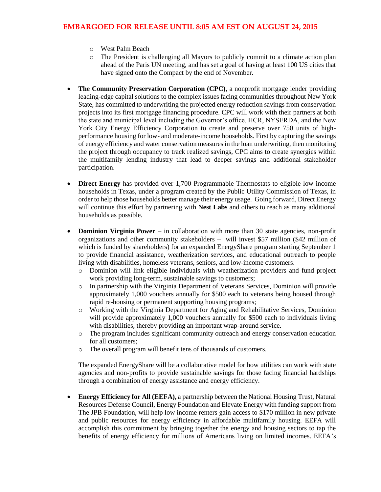- o West Palm Beach
- o The President is challenging all Mayors to publicly commit to a climate action plan ahead of the Paris UN meeting, and has set a goal of having at least 100 US cities that have signed onto the Compact by the end of November.
- **The Community Preservation Corporation (CPC)**, a nonprofit mortgage lender providing leading-edge capital solutions to the complex issues facing communities throughout New York State, has committed to underwriting the projected energy reduction savings from conservation projects into its first mortgage financing procedure. CPC will work with their partners at both the state and municipal level including the Governor's office, HCR, NYSERDA, and the New York City Energy Efficiency Corporation to create and preserve over 750 units of highperformance housing for low- and moderate-income households. First by capturing the savings of energy efficiency and water conservation measures in the loan underwriting, then monitoring the project through occupancy to track realized savings, CPC aims to create synergies within the multifamily lending industry that lead to deeper savings and additional stakeholder participation.
- **Direct Energy** has provided over 1,700 Programmable Thermostats to eligible low-income households in Texas, under a program created by the Public Utility Commission of Texas, in order to help those households better manage their energy usage. Going forward, Direct Energy will continue this effort by partnering with **Nest Labs** and others to reach as many additional households as possible.
- **Dominion Virginia Power** in collaboration with more than 30 state agencies, non-profit organizations and other community stakeholders – will invest \$57 million (\$42 million of which is funded by shareholders) for an expanded EnergyShare program starting September 1 to provide financial assistance, weatherization services, and educational outreach to people living with disabilities, homeless veterans, seniors, and low-income customers.
	- o Dominion will link eligible individuals with weatherization providers and fund project work providing long-term, sustainable savings to customers;
	- o In partnership with the Virginia Department of Veterans Services, Dominion will provide approximately 1,000 vouchers annually for \$500 each to veterans being housed through rapid re-housing or permanent supporting housing programs;
	- o Working with the Virginia Department for Aging and Rehabilitative Services, Dominion will provide approximately 1,000 vouchers annually for \$500 each to individuals living with disabilities, thereby providing an important wrap-around service.
	- o The program includes significant community outreach and energy conservation education for all customers;
	- o The overall program will benefit tens of thousands of customers.

The expanded EnergyShare will be a collaborative model for how utilities can work with state agencies and non-profits to provide sustainable savings for those facing financial hardships through a combination of energy assistance and energy efficiency.

 **Energy Efficiency for All (EEFA),** a partnership between the National Housing Trust, Natural Resources Defense Council, Energy Foundation and Elevate Energy with funding support from The JPB Foundation, will help low income renters gain access to \$170 million in new private and public resources for energy efficiency in affordable multifamily housing. EEFA will accomplish this commitment by bringing together the energy and housing sectors to tap the benefits of energy efficiency for millions of Americans living on limited incomes. EEFA's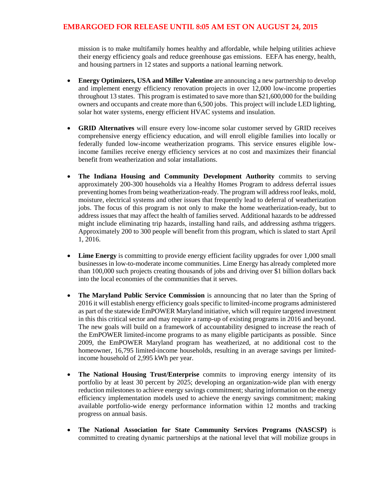mission is to make multifamily homes healthy and affordable, while helping utilities achieve their energy efficiency goals and reduce greenhouse gas emissions. EEFA has energy, health, and housing partners in 12 states and supports a national learning network.

- **Energy Optimizers, USA and Miller Valentine** are announcing a new partnership to develop and implement energy efficiency renovation projects in over 12,000 low-income properties throughout 13 states. This program is estimated to save more than \$21,600,000 for the building owners and occupants and create more than 6,500 jobs. This project will include LED lighting, solar hot water systems, energy efficient HVAC systems and insulation.
- **GRID Alternatives** will ensure every low-income solar customer served by GRID receives comprehensive energy efficiency education, and will enroll eligible families into locally or federally funded low-income weatherization programs. This service ensures eligible lowincome families receive energy efficiency services at no cost and maximizes their financial benefit from weatherization and solar installations.
- **The Indiana Housing and Community Development Authority** commits to serving approximately 200-300 households via a Healthy Homes Program to address deferral issues preventing homes from being weatherization-ready. The program will address roof leaks, mold, moisture, electrical systems and other issues that frequently lead to deferral of weatherization jobs. The focus of this program is not only to make the home weatherization-ready, but to address issues that may affect the health of families served. Additional hazards to be addressed might include eliminating trip hazards, installing hand rails, and addressing asthma triggers. Approximately 200 to 300 people will benefit from this program, which is slated to start April 1, 2016.
- Lime Energy is committing to provide energy efficient facility upgrades for over 1,000 small businesses in low-to-moderate income communities. Lime Energy has already completed more than 100,000 such projects creating thousands of jobs and driving over \$1 billion dollars back into the local economies of the communities that it serves.
- **The Maryland Public Service Commission** is announcing that no later than the Spring of 2016 it will establish energy efficiency goals specific to limited-income programs administered as part of the statewide EmPOWER Maryland initiative, which will require targeted investment in this this critical sector and may require a ramp-up of existing programs in 2016 and beyond. The new goals will build on a framework of accountability designed to increase the reach of the EmPOWER limited-income programs to as many eligible participants as possible. Since 2009, the EmPOWER Maryland program has weatherized, at no additional cost to the homeowner, 16,795 limited-income households, resulting in an average savings per limitedincome household of 2,995 kWh per year.
- **The National Housing Trust/Enterprise** commits to improving energy intensity of its portfolio by at least 30 percent by 2025; developing an organization-wide plan with energy reduction milestones to achieve energy savings commitment; sharing information on the energy efficiency implementation models used to achieve the energy savings commitment; making available portfolio-wide energy performance information within 12 months and tracking progress on annual basis.
- **The National Association for State Community Services Programs (NASCSP)** is committed to creating dynamic partnerships at the national level that will mobilize groups in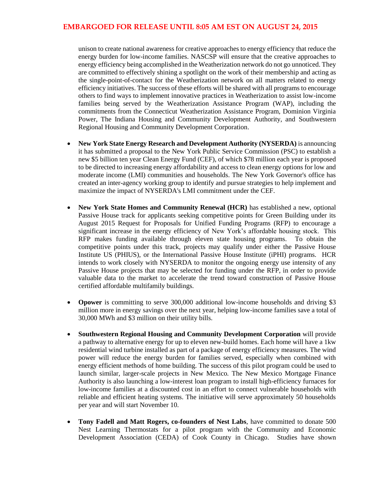unison to create national awareness for creative approaches to energy efficiency that reduce the energy burden for low-income families. NASCSP will ensure that the creative approaches to energy efficiency being accomplished in the Weatherization network do not go unnoticed. They are committed to effectively shining a spotlight on the work of their membership and acting as the single-point-of-contact for the Weatherization network on all matters related to energy efficiency initiatives. The success of these efforts will be shared with all programs to encourage others to find ways to implement innovative practices in Weatherization to assist low-income families being served by the Weatherization Assistance Program (WAP), including the commitments from the Connecticut Weatherization Assistance Program, Dominion Virginia Power, The Indiana Housing and Community Development Authority, and Southwestern Regional Housing and Community Development Corporation.

- **New York State Energy Research and Development Authority (NYSERDA)** is announcing it has submitted a proposal to the New York Public Service Commission (PSC) to establish a new \$5 billion ten year Clean Energy Fund (CEF), of which \$78 million each year is proposed to be directed to increasing energy affordability and access to clean energy options for low and moderate income (LMI) communities and households. The New York Governor's office has created an inter-agency working group to identify and pursue strategies to help implement and maximize the impact of NYSERDA's LMI commitment under the CEF.
- **New York State Homes and Community Renewal (HCR)** has established a new, optional Passive House track for applicants seeking competitive points for Green Building under its August 2015 Request for Proposals for Unified Funding Programs (RFP) to encourage a significant increase in the energy efficiency of New York's affordable housing stock. This RFP makes funding available through eleven state housing programs. To obtain the competitive points under this track, projects may qualify under either the Passive House Institute US (PHIUS), or the International Passive House Institute (iPHI) programs. HCR intends to work closely with NYSERDA to monitor the ongoing energy use intensity of any Passive House projects that may be selected for funding under the RFP, in order to provide valuable data to the market to accelerate the trend toward construction of Passive House certified affordable multifamily buildings.
- **Opower** is committing to serve 300,000 additional low-income households and driving \$3 million more in energy savings over the next year, helping low-income families save a total of 30,000 MWh and \$3 million on their utility bills.
- **Southwestern Regional Housing and Community Development Corporation** will provide a pathway to alternative energy for up to eleven new-build homes. Each home will have a 1kw residential wind turbine installed as part of a package of energy efficiency measures. The wind power will reduce the energy burden for families served, especially when combined with energy efficient methods of home building. The success of this pilot program could be used to launch similar, larger-scale projects in New Mexico. The New Mexico Mortgage Finance Authority is also launching a low-interest loan program to install high-efficiency furnaces for low-income families at a discounted cost in an effort to connect vulnerable households with reliable and efficient heating systems. The initiative will serve approximately 50 households per year and will start November 10.
- **Tony Fadell and Matt Rogers, co-founders of Nest Labs**, have committed to donate 500 Nest Learning Thermostats for a pilot program with the Community and Economic Development Association (CEDA) of Cook County in Chicago. Studies have shown